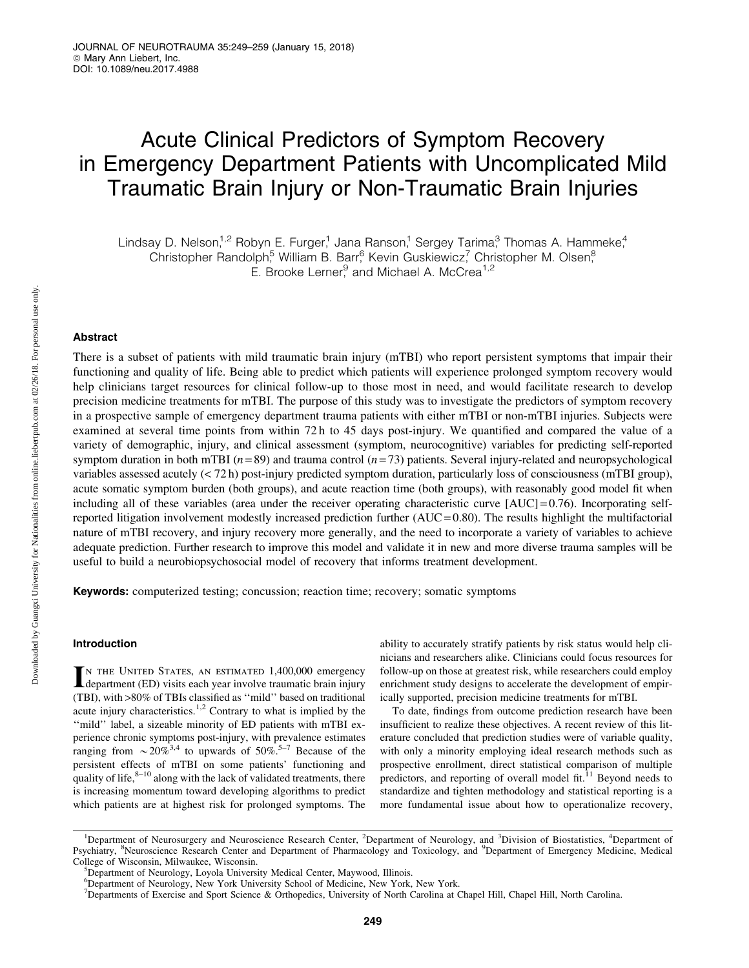# Acute Clinical Predictors of Symptom Recovery in Emergency Department Patients with Uncomplicated Mild Traumatic Brain Injury or Non-Traumatic Brain Injuries

Lindsay D. Nelson,<sup>1,2</sup> Robyn E. Furger,<sup>1</sup> Jana Ranson,<sup>1</sup> Sergey Tarima,<sup>3</sup> Thomas A. Hammeke,<sup>4</sup> Christopher Randolph,<sup>5</sup> William B. Barr,<sup>6</sup> Kevin Guskiewicz,<sup>7</sup> Christopher M. Olsen,<sup>8</sup>  $E.$  Brooke Lerner, and Michael A. McCrea<sup>1,2</sup>

Abstract

There is a subset of patients with mild traumatic brain injury (mTBI) who report persistent symptoms that impair their functioning and quality of life. Being able to predict which patients will experience prolonged symptom recovery would help clinicians target resources for clinical follow-up to those most in need, and would facilitate research to develop precision medicine treatments for mTBI. The purpose of this study was to investigate the predictors of symptom recovery in a prospective sample of emergency department trauma patients with either mTBI or non-mTBI injuries. Subjects were examined at several time points from within 72 h to 45 days post-injury. We quantified and compared the value of a variety of demographic, injury, and clinical assessment (symptom, neurocognitive) variables for predicting self-reported symptom duration in both mTBI ( $n = 89$ ) and trauma control ( $n = 73$ ) patients. Several injury-related and neuropsychological variables assessed acutely (< 72 h) post-injury predicted symptom duration, particularly loss of consciousness (mTBI group), acute somatic symptom burden (both groups), and acute reaction time (both groups), with reasonably good model fit when including all of these variables (area under the receiver operating characteristic curve  $[AUC] = 0.76$ ). Incorporating selfreported litigation involvement modestly increased prediction further  $(AUC = 0.80)$ . The results highlight the multifactorial nature of mTBI recovery, and injury recovery more generally, and the need to incorporate a variety of variables to achieve adequate prediction. Further research to improve this model and validate it in new and more diverse trauma samples will be useful to build a neurobiopsychosocial model of recovery that informs treatment development.

Keywords: computerized testing; concussion; reaction time; recovery; somatic symptoms

#### Introduction

IN THE UNITED STATES, AN ESTIMATED 1,400,000 emergency<br>department (ED) visits each year involve traumatic brain injury department (ED) visits each year involve traumatic brain injury (TBI), with >80% of TBIs classified as ''mild'' based on traditional acute injury characteristics.1,2 Contrary to what is implied by the ''mild'' label, a sizeable minority of ED patients with mTBI experience chronic symptoms post-injury, with prevalence estimates ranging from  $\sim 20\%^{3,4}$  to upwards of 50%.<sup>5–7</sup> Because of the persistent effects of mTBI on some patients' functioning and quality of life, $8-10$  along with the lack of validated treatments, there is increasing momentum toward developing algorithms to predict which patients are at highest risk for prolonged symptoms. The ability to accurately stratify patients by risk status would help clinicians and researchers alike. Clinicians could focus resources for follow-up on those at greatest risk, while researchers could employ enrichment study designs to accelerate the development of empirically supported, precision medicine treatments for mTBI.

To date, findings from outcome prediction research have been insufficient to realize these objectives. A recent review of this literature concluded that prediction studies were of variable quality, with only a minority employing ideal research methods such as prospective enrollment, direct statistical comparison of multiple predictors, and reporting of overall model fit. $11$  Beyond needs to standardize and tighten methodology and statistical reporting is a more fundamental issue about how to operationalize recovery,

<sup>&</sup>lt;sup>1</sup>Department of Neurosurgery and Neuroscience Research Center, <sup>2</sup>Department of Neurology, and <sup>3</sup>Division of Biostatistics, <sup>4</sup>Department of Psychiatry, <sup>8</sup>Neuroscience Research Center and Department of Pharmacology and Toxicology, and <sup>9</sup>Department of Emergency Medicine, Medical College of Wisconsin, Milwaukee, Wisconsin.

<sup>&</sup>lt;sup>5</sup>Department of Neurology, Loyola University Medical Center, Maywood, Illinois.

<sup>6</sup> Department of Neurology, New York University School of Medicine, New York, New York.

<sup>7</sup> Departments of Exercise and Sport Science & Orthopedics, University of North Carolina at Chapel Hill, Chapel Hill, North Carolina.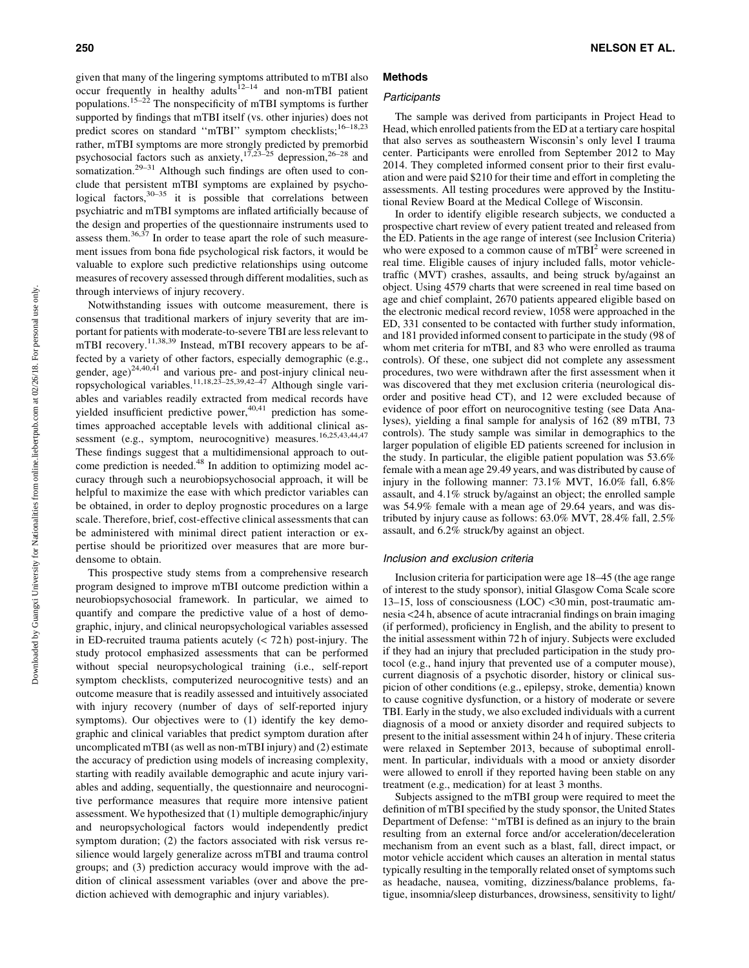given that many of the lingering symptoms attributed to mTBI also occur frequently in healthy  $\frac{d}{dt}$  and non-mTBI patient populations.15–22 The nonspecificity of mTBI symptoms is further supported by findings that mTBI itself (vs. other injuries) does not predict scores on standard "mTBI" symptom checklists;<sup>16-18,23</sup> rather, mTBI symptoms are more strongly predicted by premorbid psychosocial factors such as anxiety, $17,23-25$  depression, $26-28$  and somatization.<sup>29–31</sup> Although such findings are often used to conclude that persistent mTBI symptoms are explained by psychological factors,  $30-35$  it is possible that correlations between psychiatric and mTBI symptoms are inflated artificially because of the design and properties of the questionnaire instruments used to assess them.<sup>36,37</sup> In order to tease apart the role of such measurement issues from bona fide psychological risk factors, it would be valuable to explore such predictive relationships using outcome measures of recovery assessed through different modalities, such as through interviews of injury recovery.

Notwithstanding issues with outcome measurement, there is consensus that traditional markers of injury severity that are important for patients with moderate-to-severe TBI are less relevant to mTBI recovery.<sup>11,38,39</sup> Instead, mTBI recovery appears to be affected by a variety of other factors, especially demographic (e.g., gender, age) $24,40,41$  and various pre- and post-injury clinical neuropsychological variables.<sup>11,18,23–25,39,42–47</sup> Although single variables and variables readily extracted from medical records have yielded insufficient predictive power,<sup>40,41</sup> prediction has sometimes approached acceptable levels with additional clinical assessment (e.g., symptom, neurocognitive) measures.<sup>16,25,43,44,47</sup> These findings suggest that a multidimensional approach to outcome prediction is needed.<sup>48</sup> In addition to optimizing model accuracy through such a neurobiopsychosocial approach, it will be helpful to maximize the ease with which predictor variables can be obtained, in order to deploy prognostic procedures on a large scale. Therefore, brief, cost-effective clinical assessments that can be administered with minimal direct patient interaction or expertise should be prioritized over measures that are more burdensome to obtain.

This prospective study stems from a comprehensive research program designed to improve mTBI outcome prediction within a neurobiopsychosocial framework. In particular, we aimed to quantify and compare the predictive value of a host of demographic, injury, and clinical neuropsychological variables assessed in ED-recruited trauma patients acutely  $( $72 \text{ h}$ )$  post-injury. The study protocol emphasized assessments that can be performed without special neuropsychological training (i.e., self-report symptom checklists, computerized neurocognitive tests) and an outcome measure that is readily assessed and intuitively associated with injury recovery (number of days of self-reported injury symptoms). Our objectives were to (1) identify the key demographic and clinical variables that predict symptom duration after uncomplicated mTBI (as well as non-mTBI injury) and (2) estimate the accuracy of prediction using models of increasing complexity, starting with readily available demographic and acute injury variables and adding, sequentially, the questionnaire and neurocognitive performance measures that require more intensive patient assessment. We hypothesized that (1) multiple demographic/injury and neuropsychological factors would independently predict symptom duration; (2) the factors associated with risk versus resilience would largely generalize across mTBI and trauma control groups; and (3) prediction accuracy would improve with the addition of clinical assessment variables (over and above the prediction achieved with demographic and injury variables).

# Methods

### **Participants**

The sample was derived from participants in Project Head to Head, which enrolled patients from the ED at a tertiary care hospital that also serves as southeastern Wisconsin's only level I trauma center. Participants were enrolled from September 2012 to May 2014. They completed informed consent prior to their first evaluation and were paid \$210 for their time and effort in completing the assessments. All testing procedures were approved by the Institutional Review Board at the Medical College of Wisconsin.

In order to identify eligible research subjects, we conducted a prospective chart review of every patient treated and released from the ED. Patients in the age range of interest (see Inclusion Criteria) who were exposed to a common cause of  $mTBI<sup>2</sup>$  were screened in real time. Eligible causes of injury included falls, motor vehicletraffic (MVT) crashes, assaults, and being struck by/against an object. Using 4579 charts that were screened in real time based on age and chief complaint, 2670 patients appeared eligible based on the electronic medical record review, 1058 were approached in the ED, 331 consented to be contacted with further study information, and 181 provided informed consent to participate in the study (98 of whom met criteria for mTBI, and 83 who were enrolled as trauma controls). Of these, one subject did not complete any assessment procedures, two were withdrawn after the first assessment when it was discovered that they met exclusion criteria (neurological disorder and positive head CT), and 12 were excluded because of evidence of poor effort on neurocognitive testing (see Data Analyses), yielding a final sample for analysis of 162 (89 mTBI, 73 controls). The study sample was similar in demographics to the larger population of eligible ED patients screened for inclusion in the study. In particular, the eligible patient population was 53.6% female with a mean age 29.49 years, and was distributed by cause of injury in the following manner: 73.1% MVT, 16.0% fall, 6.8% assault, and 4.1% struck by/against an object; the enrolled sample was 54.9% female with a mean age of 29.64 years, and was distributed by injury cause as follows: 63.0% MVT, 28.4% fall, 2.5% assault, and 6.2% struck/by against an object.

#### Inclusion and exclusion criteria

Inclusion criteria for participation were age 18–45 (the age range of interest to the study sponsor), initial Glasgow Coma Scale score 13–15, loss of consciousness (LOC) <30 min, post-traumatic amnesia <24 h, absence of acute intracranial findings on brain imaging (if performed), proficiency in English, and the ability to present to the initial assessment within 72 h of injury. Subjects were excluded if they had an injury that precluded participation in the study protocol (e.g., hand injury that prevented use of a computer mouse), current diagnosis of a psychotic disorder, history or clinical suspicion of other conditions (e.g., epilepsy, stroke, dementia) known to cause cognitive dysfunction, or a history of moderate or severe TBI. Early in the study, we also excluded individuals with a current diagnosis of a mood or anxiety disorder and required subjects to present to the initial assessment within 24 h of injury. These criteria were relaxed in September 2013, because of suboptimal enrollment. In particular, individuals with a mood or anxiety disorder were allowed to enroll if they reported having been stable on any treatment (e.g., medication) for at least 3 months.

Subjects assigned to the mTBI group were required to meet the definition of mTBI specified by the study sponsor, the United States Department of Defense: ''mTBI is defined as an injury to the brain resulting from an external force and/or acceleration/deceleration mechanism from an event such as a blast, fall, direct impact, or motor vehicle accident which causes an alteration in mental status typically resulting in the temporally related onset of symptoms such as headache, nausea, vomiting, dizziness/balance problems, fatigue, insomnia/sleep disturbances, drowsiness, sensitivity to light/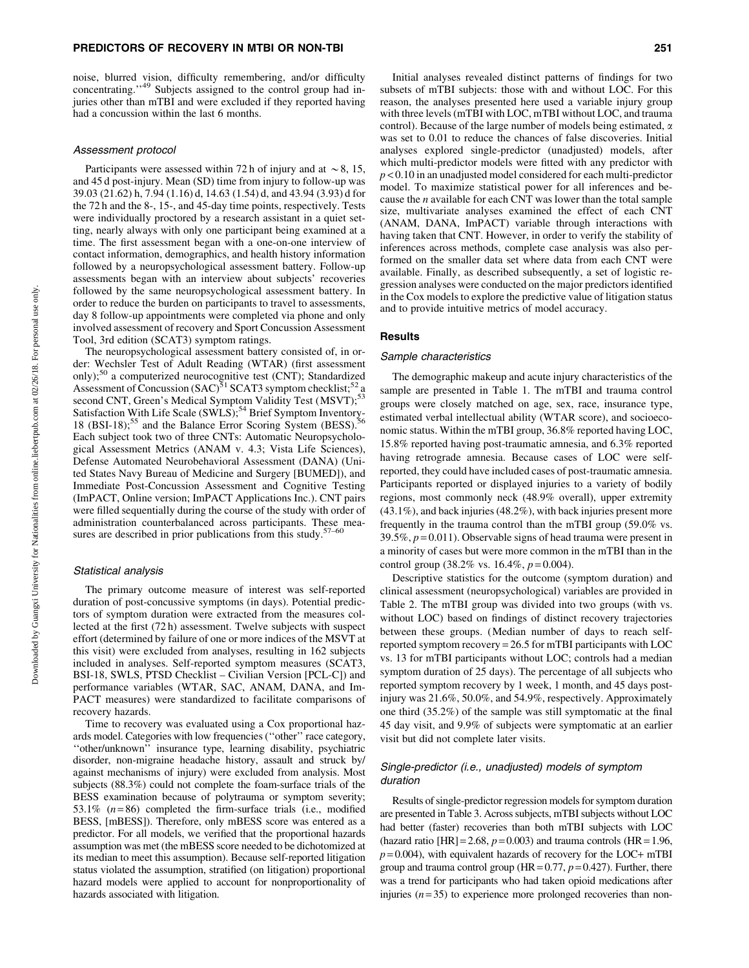#### PREDICTORS OF RECOVERY IN MTBI OR NON-TBI 251

noise, blurred vision, difficulty remembering, and/or difficulty concentrating."<sup>49</sup> Subjects assigned to the control group had injuries other than mTBI and were excluded if they reported having had a concussion within the last 6 months.

#### Assessment protocol

Participants were assessed within 72 h of injury and at  $\sim$  8, 15, and 45 d post-injury. Mean (SD) time from injury to follow-up was 39.03 (21.62) h, 7.94 (1.16) d, 14.63 (1.54) d, and 43.94 (3.93) d for the 72 h and the 8-, 15-, and 45-day time points, respectively. Tests were individually proctored by a research assistant in a quiet setting, nearly always with only one participant being examined at a time. The first assessment began with a one-on-one interview of contact information, demographics, and health history information followed by a neuropsychological assessment battery. Follow-up assessments began with an interview about subjects' recoveries followed by the same neuropsychological assessment battery. In order to reduce the burden on participants to travel to assessments, day 8 follow-up appointments were completed via phone and only involved assessment of recovery and Sport Concussion Assessment Tool, 3rd edition (SCAT3) symptom ratings.

The neuropsychological assessment battery consisted of, in order: Wechsler Test of Adult Reading (WTAR) (first assessment only);<sup>50</sup> a computerized neurocognitive test (CNT); Standardized Assessment of Concussion  $(SAC)^{51}$  SCAT3 symptom checklist;<sup>52</sup> a second CNT, Green's Medical Symptom Validity Test (MSVT);<sup>53</sup> second CN1, Green s included symptom  $\frac{1}{2}$  and  $\frac{1}{2}$ .<br>Satisfaction With Life Scale (SWLS);<sup>54</sup> Brief Symptom Inventory-18 (BSI-18);<sup>55</sup> and the Balance Error Scoring System (BESS).<sup>55</sup> Each subject took two of three CNTs: Automatic Neuropsychological Assessment Metrics (ANAM v. 4.3; Vista Life Sciences), Defense Automated Neurobehavioral Assessment (DANA) (United States Navy Bureau of Medicine and Surgery [BUMED]), and Immediate Post-Concussion Assessment and Cognitive Testing (ImPACT, Online version; ImPACT Applications Inc.). CNT pairs were filled sequentially during the course of the study with order of administration counterbalanced across participants. These measures are described in prior publications from this study. $57-60$ 

#### Statistical analysis

The primary outcome measure of interest was self-reported duration of post-concussive symptoms (in days). Potential predictors of symptom duration were extracted from the measures collected at the first (72 h) assessment. Twelve subjects with suspect effort (determined by failure of one or more indices of the MSVT at this visit) were excluded from analyses, resulting in 162 subjects included in analyses. Self-reported symptom measures (SCAT3, BSI-18, SWLS, PTSD Checklist – Civilian Version [PCL-C]) and performance variables (WTAR, SAC, ANAM, DANA, and Im-PACT measures) were standardized to facilitate comparisons of recovery hazards.

Time to recovery was evaluated using a Cox proportional hazards model. Categories with low frequencies (''other'' race category, ''other/unknown'' insurance type, learning disability, psychiatric disorder, non-migraine headache history, assault and struck by/ against mechanisms of injury) were excluded from analysis. Most subjects (88.3%) could not complete the foam-surface trials of the BESS examination because of polytrauma or symptom severity; 53.1%  $(n=86)$  completed the firm-surface trials (i.e., modified BESS, [mBESS]). Therefore, only mBESS score was entered as a predictor. For all models, we verified that the proportional hazards assumption was met (the mBESS score needed to be dichotomized at its median to meet this assumption). Because self-reported litigation status violated the assumption, stratified (on litigation) proportional hazard models were applied to account for nonproportionality of hazards associated with litigation.

Initial analyses revealed distinct patterns of findings for two subsets of mTBI subjects: those with and without LOC. For this reason, the analyses presented here used a variable injury group with three levels (mTBI with LOC, mTBI without LOC, and trauma control). Because of the large number of models being estimated,  $\alpha$ was set to 0.01 to reduce the chances of false discoveries. Initial analyses explored single-predictor (unadjusted) models, after which multi-predictor models were fitted with any predictor with p < 0.10 in an unadjusted model considered for each multi-predictor model. To maximize statistical power for all inferences and because the  $n$  available for each CNT was lower than the total sample size, multivariate analyses examined the effect of each CNT (ANAM, DANA, ImPACT) variable through interactions with having taken that CNT. However, in order to verify the stability of inferences across methods, complete case analysis was also performed on the smaller data set where data from each CNT were available. Finally, as described subsequently, a set of logistic regression analyses were conducted on the major predictors identified in the Cox models to explore the predictive value of litigation status and to provide intuitive metrics of model accuracy.

#### **Results**

#### Sample characteristics

The demographic makeup and acute injury characteristics of the sample are presented in Table 1. The mTBI and trauma control groups were closely matched on age, sex, race, insurance type, estimated verbal intellectual ability (WTAR score), and socioeconomic status. Within the mTBI group, 36.8% reported having LOC, 15.8% reported having post-traumatic amnesia, and 6.3% reported having retrograde amnesia. Because cases of LOC were selfreported, they could have included cases of post-traumatic amnesia. Participants reported or displayed injuries to a variety of bodily regions, most commonly neck (48.9% overall), upper extremity (43.1%), and back injuries (48.2%), with back injuries present more frequently in the trauma control than the mTBI group (59.0% vs. 39.5%,  $p = 0.011$ ). Observable signs of head trauma were present in a minority of cases but were more common in the mTBI than in the control group (38.2% vs. 16.4%,  $p = 0.004$ ).

Descriptive statistics for the outcome (symptom duration) and clinical assessment (neuropsychological) variables are provided in Table 2. The mTBI group was divided into two groups (with vs. without LOC) based on findings of distinct recovery trajectories between these groups. (Median number of days to reach selfreported symptom recovery = 26.5 for mTBI participants with LOC vs. 13 for mTBI participants without LOC; controls had a median symptom duration of 25 days). The percentage of all subjects who reported symptom recovery by 1 week, 1 month, and 45 days postinjury was 21.6%, 50.0%, and 54.9%, respectively. Approximately one third (35.2%) of the sample was still symptomatic at the final 45 day visit, and 9.9% of subjects were symptomatic at an earlier visit but did not complete later visits.

#### Single-predictor (i.e., unadjusted) models of symptom duration

Results of single-predictor regression models for symptom duration are presented in Table 3. Across subjects, mTBI subjects without LOC had better (faster) recoveries than both mTBI subjects with LOC (hazard ratio [HR] = 2.68,  $p = 0.003$ ) and trauma controls (HR = 1.96,  $p = 0.004$ ), with equivalent hazards of recovery for the LOC+ mTBI group and trauma control group (HR =  $0.77$ ,  $p = 0.427$ ). Further, there was a trend for participants who had taken opioid medications after injuries  $(n=35)$  to experience more prolonged recoveries than non-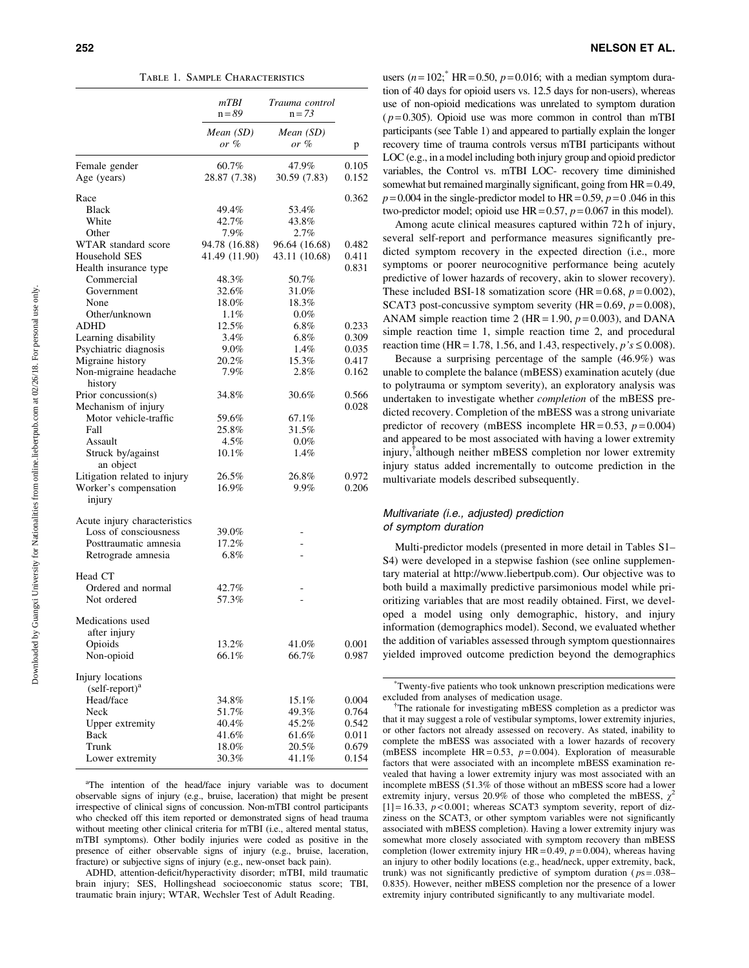Table 1. Sample Characteristics

|                                 | mTBI<br>Trauma control<br>$n = 89$<br>$n = 73$ |                       |                |  |
|---------------------------------|------------------------------------------------|-----------------------|----------------|--|
|                                 | Mean (SD)<br>or %                              | Mean (SD)<br>or %     | p              |  |
| Female gender<br>Age (years)    | $60.7\%$<br>28.87 (7.38)                       | 47.9%<br>30.59 (7.83) | 0.105<br>0.152 |  |
| Race                            |                                                |                       | 0.362          |  |
| Black                           | 49.4%                                          | 53.4%                 |                |  |
| White                           | 42.7%                                          | 43.8%                 |                |  |
| Other                           | 7.9%                                           | 2.7%                  |                |  |
| WTAR standard score             | 94.78 (16.88)                                  | 96.64 (16.68)         | 0.482          |  |
| Household SES                   | 41.49 (11.90)                                  | 43.11 (10.68)         | 0.411          |  |
| Health insurance type           |                                                |                       | 0.831          |  |
| Commercial                      | 48.3%                                          | 50.7%                 |                |  |
| Government                      | 32.6%                                          | 31.0%                 |                |  |
| None                            | 18.0%                                          | 18.3%                 |                |  |
| Other/unknown                   | 1.1%                                           | $0.0\%$               |                |  |
| ADHD                            | 12.5%                                          | $6.8\%$               | 0.233          |  |
| Learning disability             | 3.4%                                           | $6.8\%$               | 0.309          |  |
| Psychiatric diagnosis           | $9.0\%$                                        | 1.4%                  | 0.035          |  |
| Migraine history                | 20.2%                                          | 15.3%                 | 0.417          |  |
| Non-migraine headache           | 7.9%                                           | 2.8%                  | 0.162          |  |
| history                         |                                                |                       |                |  |
| Prior concussion(s)             | 34.8%                                          | 30.6%                 | 0.566          |  |
| Mechanism of injury             |                                                |                       | 0.028          |  |
| Motor vehicle-traffic           | 59.6%                                          | 67.1%                 |                |  |
| Fall                            | 25.8%                                          | 31.5%                 |                |  |
| Assault                         | 4.5%                                           | 0.0%                  |                |  |
| Struck by/against<br>an object  | $10.1\%$                                       | 1.4%                  |                |  |
| Litigation related to injury    | 26.5%                                          | 26.8%                 | 0.972          |  |
| Worker's compensation<br>injury | 16.9%                                          | 9.9%                  | 0.206          |  |
| Acute injury characteristics    |                                                |                       |                |  |
| Loss of consciousness           | 39.0%                                          |                       |                |  |
| Posttraumatic amnesia           | 17.2%                                          |                       |                |  |
| Retrograde amnesia              | $6.8\%$                                        |                       |                |  |
| Head CT                         |                                                |                       |                |  |
| Ordered and normal              | 42.7%                                          |                       |                |  |
| Not ordered                     | 57.3%                                          |                       |                |  |
| Medications used                |                                                |                       |                |  |
| after injury                    |                                                |                       |                |  |
| Opioids                         | 13.2%                                          | 41.0%                 | 0.001          |  |
| Non-opioid                      | 66.1%                                          | 66.7%                 | 0.987          |  |
| Injury locations                |                                                |                       |                |  |
| $(self-report)a$                |                                                |                       |                |  |
| Head/face                       | 34.8%                                          | 15.1%                 | 0.004          |  |
| Neck                            | 51.7%                                          | 49.3%                 | 0.764          |  |
| Upper extremity                 | 40.4%                                          | 45.2%                 | 0.542          |  |
| Back                            | 41.6%                                          | 61.6%                 | 0.011          |  |
| Trunk                           | 18.0%                                          | 20.5%                 | 0.679          |  |
| Lower extremity                 | 30.3%                                          | 41.1%                 | 0.154          |  |

<sup>a</sup>The intention of the head/face injury variable was to document observable signs of injury (e.g., bruise, laceration) that might be present irrespective of clinical signs of concussion. Non-mTBI control participants who checked off this item reported or demonstrated signs of head trauma without meeting other clinical criteria for mTBI (i.e., altered mental status, mTBI symptoms). Other bodily injuries were coded as positive in the presence of either observable signs of injury (e.g., bruise, laceration, fracture) or subjective signs of injury (e.g., new-onset back pain).

ADHD, attention-deficit/hyperactivity disorder; mTBI, mild traumatic brain injury; SES, Hollingshead socioeconomic status score; TBI, traumatic brain injury; WTAR, Wechsler Test of Adult Reading.

users  $(n = 102$ ; HR = 0.50,  $p = 0.016$ ; with a median symptom duration of 40 days for opioid users vs. 12.5 days for non-users), whereas use of non-opioid medications was unrelated to symptom duration  $(p=0.305)$ . Opioid use was more common in control than mTBI participants (see Table 1) and appeared to partially explain the longer recovery time of trauma controls versus mTBI participants without LOC (e.g., in a model including both injury group and opioid predictor variables, the Control vs. mTBI LOC- recovery time diminished somewhat but remained marginally significant, going from  $HR = 0.49$ ,  $p = 0.004$  in the single-predictor model to HR = 0.59,  $p = 0.046$  in this two-predictor model; opioid use  $HR = 0.57$ ,  $p = 0.067$  in this model).

Among acute clinical measures captured within 72 h of injury, several self-report and performance measures significantly predicted symptom recovery in the expected direction (i.e., more symptoms or poorer neurocognitive performance being acutely predictive of lower hazards of recovery, akin to slower recovery). These included BSI-18 somatization score (HR =  $0.68$ ,  $p = 0.002$ ), SCAT3 post-concussive symptom severity (HR =  $0.69$ ,  $p = 0.008$ ), ANAM simple reaction time 2 (HR = 1.90,  $p = 0.003$ ), and DANA simple reaction time 1, simple reaction time 2, and procedural reaction time (HR = 1.78, 1.56, and 1.43, respectively,  $p's \le 0.008$ ).

Because a surprising percentage of the sample (46.9%) was unable to complete the balance (mBESS) examination acutely (due to polytrauma or symptom severity), an exploratory analysis was undertaken to investigate whether completion of the mBESS predicted recovery. Completion of the mBESS was a strong univariate predictor of recovery (mBESS incomplete  $HR = 0.53$ ,  $p = 0.004$ ) and appeared to be most associated with having a lower extremity injury,<sup>†</sup>although neither mBESS completion nor lower extremity injury status added incrementally to outcome prediction in the multivariate models described subsequently.

## Multivariate (i.e., adjusted) prediction of symptom duration

Multi-predictor models (presented in more detail in Tables S1– S4) were developed in a stepwise fashion (see online supplementary material at http://www.liebertpub.com). Our objective was to both build a maximally predictive parsimonious model while prioritizing variables that are most readily obtained. First, we developed a model using only demographic, history, and injury information (demographics model). Second, we evaluated whether the addition of variables assessed through symptom questionnaires yielded improved outcome prediction beyond the demographics

<sup>\*</sup> Twenty-five patients who took unknown prescription medications were excluded from analyses of medication usage.

<sup>&</sup>lt;sup>†</sup>The rationale for investigating mBESS completion as a predictor was that it may suggest a role of vestibular symptoms, lower extremity injuries, or other factors not already assessed on recovery. As stated, inability to complete the mBESS was associated with a lower hazards of recovery (mBESS incomplete HR = 0.53,  $p = 0.004$ ). Exploration of measurable factors that were associated with an incomplete mBESS examination revealed that having a lower extremity injury was most associated with an incomplete mBESS (51.3% of those without an mBESS score had a lower extremity injury, versus 20.9% of those who completed the mBESS,  $\chi^2$  $[1] = 16.33$ ,  $p < 0.001$ ; whereas SCAT3 symptom severity, report of dizziness on the SCAT3, or other symptom variables were not significantly associated with mBESS completion). Having a lower extremity injury was somewhat more closely associated with symptom recovery than mBESS completion (lower extremity injury  $HR = 0.49$ ,  $p = 0.004$ ), whereas having an injury to other bodily locations (e.g., head/neck, upper extremity, back, trunk) was not significantly predictive of symptom duration ( $ps = .038-$ 0.835). However, neither mBESS completion nor the presence of a lower extremity injury contributed significantly to any multivariate model.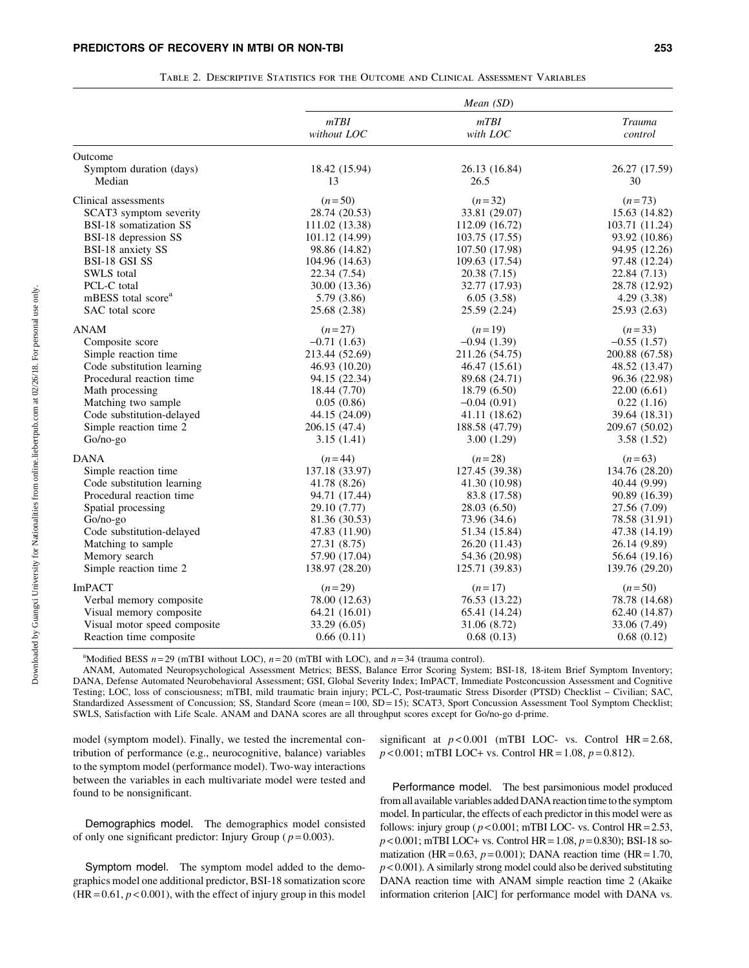|                                   |                     | Mean $(SD)$           |                          |
|-----------------------------------|---------------------|-----------------------|--------------------------|
|                                   | mTBI<br>without LOC | mTBI<br>with LOC      | <b>Trauma</b><br>control |
| Outcome                           |                     |                       |                          |
| Symptom duration (days)<br>Median | 18.42 (15.94)<br>13 | 26.13 (16.84)<br>26.5 | 26.27 (17.59)<br>30      |
| Clinical assessments              | $(n=50)$            | $(n=32)$              | $(n=73)$                 |
| SCAT3 symptom severity            | 28.74 (20.53)       | 33.81 (29.07)         | 15.63 (14.82)            |
| BSI-18 somatization SS            | 111.02 (13.38)      | 112.09 (16.72)        | 103.71 (11.24)           |
| BSI-18 depression SS              | 101.12 (14.99)      | 103.75 (17.55)        | 93.92 (10.86)            |
| BSI-18 anxiety SS                 | 98.86 (14.82)       | 107.50 (17.98)        | 94.95 (12.26)            |
| <b>BSI-18 GSI SS</b>              | 104.96 (14.63)      | 109.63 (17.54)        | 97.48 (12.24)            |
| SWLS total                        | 22.34 (7.54)        | 20.38 (7.15)          | 22.84 (7.13)             |
| PCL-C total                       | 30.00 (13.36)       | 32.77 (17.93)         | 28.78 (12.92)            |
| mBESS total score <sup>a</sup>    | 5.79 (3.86)         | 6.05(3.58)            | 4.29(3.38)               |
| SAC total score                   | 25.68 (2.38)        | 25.59 (2.24)          | 25.93(2.63)              |
| ANAM                              | $(n=27)$            | $(n=19)$              | $(n=33)$                 |
| Composite score                   | $-0.71(1.63)$       | $-0.94(1.39)$         | $-0.55(1.57)$            |
| Simple reaction time              | 213.44 (52.69)      | 211.26 (54.75)        | 200.88 (67.58)           |
| Code substitution learning        | 46.93 (10.20)       | 46.47 (15.61)         | 48.52 (13.47)            |
| Procedural reaction time          | 94.15 (22.34)       | 89.68 (24.71)         | 96.36 (22.98)            |
| Math processing                   | 18.44 (7.70)        | 18.79 (6.50)          | 22.00(6.61)              |
| Matching two sample               | 0.05(0.86)          | $-0.04(0.91)$         | 0.22(1.16)               |
| Code substitution-delayed         | 44.15 (24.09)       | 41.11 (18.62)         | 39.64 (18.31)            |
| Simple reaction time 2            | 206.15 (47.4)       | 188.58 (47.79)        | 209.67 (50.02)           |
| Go/no-go                          | 3.15(1.41)          | 3.00(1.29)            | 3.58(1.52)               |
| <b>DANA</b>                       | $(n=44)$            | $(n=28)$              | $(n=63)$                 |
| Simple reaction time              | 137.18 (33.97)      | 127.45 (39.38)        | 134.76 (28.20)           |
| Code substitution learning        | 41.78 (8.26)        | 41.30 (10.98)         | 40.44 (9.99)             |
| Procedural reaction time          | 94.71 (17.44)       | 83.8 (17.58)          | 90.89 (16.39)            |
| Spatial processing                | 29.10 (7.77)        | 28.03 (6.50)          | 27.56 (7.09)             |
| Go/no-go                          | 81.36 (30.53)       | 73.96 (34.6)          | 78.58 (31.91)            |
| Code substitution-delayed         | 47.83 (11.90)       | 51.34 (15.84)         | 47.38 (14.19)            |
| Matching to sample                | 27.31 (8.75)        | 26.20 (11.43)         | 26.14 (9.89)             |
| Memory search                     | 57.90 (17.04)       | 54.36 (20.98)         | 56.64 (19.16)            |
| Simple reaction time 2            | 138.97 (28.20)      | 125.71 (39.83)        | 139.76 (29.20)           |
| <b>ImPACT</b>                     | $(n=29)$            | $(n=17)$              | $(n=50)$                 |
| Verbal memory composite           | 78.00 (12.63)       | 76.53 (13.22)         | 78.78 (14.68)            |
| Visual memory composite           | 64.21 (16.01)       | 65.41 (14.24)         | 62.40 (14.87)            |
| Visual motor speed composite      | 33.29 (6.05)        | 31.06 (8.72)          | 33.06 (7.49)             |
| Reaction time composite           | 0.66(0.11)          | 0.68(0.13)            | 0.68(0.12)               |

|  |  | TABLE 2. DESCRIPTIVE STATISTICS FOR THE OUTCOME AND CLINICAL ASSESSMENT VARIABLES |  |
|--|--|-----------------------------------------------------------------------------------|--|
|  |  |                                                                                   |  |

<sup>a</sup>Modified BESS  $n = 29$  (mTBI without LOC),  $n = 20$  (mTBI with LOC), and  $n = 34$  (trauma control).

ANAM, Automated Neuropsychological Assessment Metrics; BESS, Balance Error Scoring System; BSI-18, 18-item Brief Symptom Inventory; DANA, Defense Automated Neurobehavioral Assessment; GSI, Global Severity Index; ImPACT, Immediate Postconcussion Assessment and Cognitive Testing; LOC, loss of consciousness; mTBI, mild traumatic brain injury; PCL-C, Post-traumatic Stress Disorder (PTSD) Checklist – Civilian; SAC, Standardized Assessment of Concussion; SS, Standard Score (mean = 100, SD = 15); SCAT3, Sport Concussion Assessment Tool Symptom Checklist; SWLS, Satisfaction with Life Scale. ANAM and DANA scores are all throughput scores except for Go/no-go d-prime.

model (symptom model). Finally, we tested the incremental contribution of performance (e.g., neurocognitive, balance) variables to the symptom model (performance model). Two-way interactions between the variables in each multivariate model were tested and found to be nonsignificant.

Demographics model. The demographics model consisted of only one significant predictor: Injury Group ( $p = 0.003$ ).

Symptom model. The symptom model added to the demographics model one additional predictor, BSI-18 somatization score  $(HR = 0.61, p < 0.001)$ , with the effect of injury group in this model significant at  $p < 0.001$  (mTBI LOC- vs. Control HR = 2.68,  $p < 0.001$ ; mTBI LOC+ vs. Control HR = 1.08,  $p = 0.812$ ).

Performance model. The best parsimonious model produced from all available variables added DANA reaction time to the symptom model. In particular, the effects of each predictor in this model were as follows: injury group ( $p < 0.001$ ; mTBI LOC- vs. Control HR = 2.53,  $p$  < 0.001; mTBI LOC+ vs. Control HR = 1.08,  $p$  = 0.830); BSI-18 somatization (HR =  $0.63$ ,  $p = 0.001$ ); DANA reaction time (HR = 1.70,  $p < 0.001$ ). A similarly strong model could also be derived substituting DANA reaction time with ANAM simple reaction time 2 (Akaike information criterion [AIC] for performance model with DANA vs.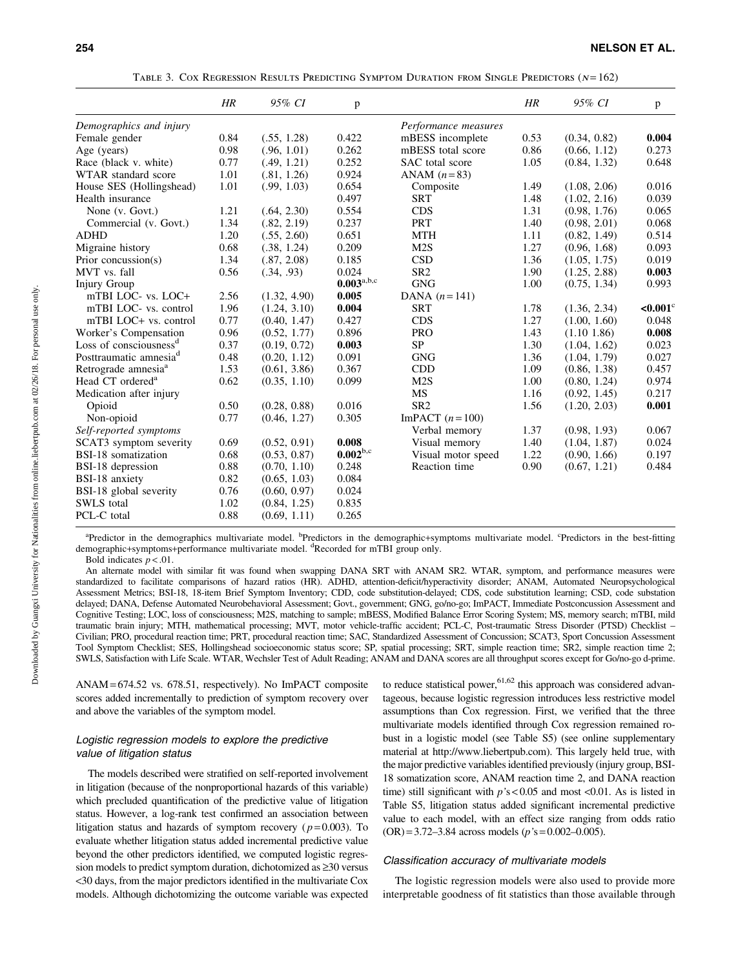|                                    | HR   | 95% CI       | p                   |                      | HR   | 95% CI       | p       |
|------------------------------------|------|--------------|---------------------|----------------------|------|--------------|---------|
| Demographics and injury            |      |              |                     | Performance measures |      |              |         |
| Female gender                      | 0.84 | (.55, 1.28)  | 0.422               | mBESS incomplete     | 0.53 | (0.34, 0.82) | 0.004   |
| Age (years)                        | 0.98 | (.96, 1.01)  | 0.262               | mBESS total score    | 0.86 | (0.66, 1.12) | 0.273   |
| Race (black v. white)              | 0.77 | (.49, 1.21)  | 0.252               | SAC total score      | 1.05 | (0.84, 1.32) | 0.648   |
| WTAR standard score                | 1.01 | (.81, 1.26)  | 0.924               | ANAM $(n=83)$        |      |              |         |
| House SES (Hollingshead)           | 1.01 | (.99, 1.03)  | 0.654               | Composite            | 1.49 | (1.08, 2.06) | 0.016   |
| Health insurance                   |      |              | 0.497               | <b>SRT</b>           | 1.48 | (1.02, 2.16) | 0.039   |
| None (v. Govt.)                    | 1.21 | (.64, 2.30)  | 0.554               | <b>CDS</b>           | 1.31 | (0.98, 1.76) | 0.065   |
| Commercial (v. Govt.)              | 1.34 | (.82, 2.19)  | 0.237               | <b>PRT</b>           | 1.40 | (0.98, 2.01) | 0.068   |
| <b>ADHD</b>                        | 1.20 | (.55, 2.60)  | 0.651               | <b>MTH</b>           | 1.11 | (0.82, 1.49) | 0.514   |
| Migraine history                   | 0.68 | (.38, 1.24)  | 0.209               | M2S                  | 1.27 | (0.96, 1.68) | 0.093   |
| Prior concussion(s)                | 1.34 | (.87, 2.08)  | 0.185               | <b>CSD</b>           | 1.36 | (1.05, 1.75) | 0.019   |
| MVT vs. fall                       | 0.56 | (.34, .93)   | 0.024               | SR <sub>2</sub>      | 1.90 | (1.25, 2.88) | 0.003   |
| <b>Injury Group</b>                |      |              | $0.003^{\rm a,b,c}$ | <b>GNG</b>           | 1.00 | (0.75, 1.34) | 0.993   |
| mTBI LOC- vs. LOC+                 | 2.56 | (1.32, 4.90) | 0.005               | DANA $(n=141)$       |      |              |         |
| mTBI LOC- vs. control              | 1.96 | (1.24, 3.10) | 0.004               | <b>SRT</b>           | 1.78 | (1.36, 2.34) | $0.001$ |
| mTBI LOC+ vs. control              | 0.77 | (0.40, 1.47) | 0.427               | <b>CDS</b>           | 1.27 | (1.00, 1.60) | 0.048   |
| Worker's Compensation              | 0.96 | (0.52, 1.77) | 0.896               | <b>PRO</b>           | 1.43 | (1.10 1.86)  | 0.008   |
| Loss of consciousness <sup>d</sup> | 0.37 | (0.19, 0.72) | 0.003               | <b>SP</b>            | 1.30 | (1.04, 1.62) | 0.023   |
| Posttraumatic amnesia <sup>d</sup> | 0.48 | (0.20, 1.12) | 0.091               | <b>GNG</b>           | 1.36 | (1.04, 1.79) | 0.027   |
| Retrograde amnesia <sup>a</sup>    | 1.53 | (0.61, 3.86) | 0.367               | <b>CDD</b>           | 1.09 | (0.86, 1.38) | 0.457   |
| Head CT ordered <sup>a</sup>       | 0.62 | (0.35, 1.10) | 0.099               | M2S                  | 1.00 | (0.80, 1.24) | 0.974   |
| Medication after injury            |      |              |                     | MS                   | 1.16 | (0.92, 1.45) | 0.217   |
| Opioid                             | 0.50 | (0.28, 0.88) | 0.016               | SR <sub>2</sub>      | 1.56 | (1.20, 2.03) | 0.001   |
| Non-opioid                         | 0.77 | (0.46, 1.27) | 0.305               | ImPACT $(n=100)$     |      |              |         |
| Self-reported symptoms             |      |              |                     | Verbal memory        | 1.37 | (0.98, 1.93) | 0.067   |
| SCAT3 symptom severity             | 0.69 | (0.52, 0.91) | 0.008               | Visual memory        | 1.40 | (1.04, 1.87) | 0.024   |
| BSI-18 somatization                | 0.68 | (0.53, 0.87) | $0.002^{b,c}$       | Visual motor speed   | 1.22 | (0.90, 1.66) | 0.197   |
| BSI-18 depression                  | 0.88 | (0.70, 1.10) | 0.248               | Reaction time        | 0.90 | (0.67, 1.21) | 0.484   |
| BSI-18 anxiety                     | 0.82 | (0.65, 1.03) | 0.084               |                      |      |              |         |
| BSI-18 global severity             | 0.76 | (0.60, 0.97) | 0.024               |                      |      |              |         |
| <b>SWLS</b> total                  | 1.02 | (0.84, 1.25) | 0.835               |                      |      |              |         |
| PCL-C total                        | 0.88 | (0.69, 1.11) | 0.265               |                      |      |              |         |

TABLE 3. COX REGRESSION RESULTS PREDICTING SYMPTOM DURATION FROM SINGLE PREDICTORS  $(N = 162)$ 

<sup>a</sup>Predictor in the demographics multivariate model. <sup>b</sup>Predictors in the demographic+symptoms multivariate model. <sup>c</sup>Predictors in the best-fitting demographic+symptoms+performance multivariate model. <sup>d</sup>Recorded for mTBI group only.

Bold indicates  $p < .01$ .

An alternate model with similar fit was found when swapping DANA SRT with ANAM SR2. WTAR, symptom, and performance measures were standardized to facilitate comparisons of hazard ratios (HR). ADHD, attention-deficit/hyperactivity disorder; ANAM, Automated Neuropsychological Assessment Metrics; BSI-18, 18-item Brief Symptom Inventory; CDD, code substitution-delayed; CDS, code substitution learning; CSD, code substation delayed; DANA, Defense Automated Neurobehavioral Assessment; Govt., government; GNG, go/no-go; ImPACT, Immediate Postconcussion Assessment and Cognitive Testing; LOC, loss of consciousness; M2S, matching to sample; mBESS, Modified Balance Error Scoring System; MS, memory search; mTBI, mild traumatic brain injury; MTH, mathematical processing; MVT, motor vehicle-traffic accident; PCL-C, Post-traumatic Stress Disorder (PTSD) Checklist – Civilian; PRO, procedural reaction time; PRT, procedural reaction time; SAC, Standardized Assessment of Concussion; SCAT3, Sport Concussion Assessment Tool Symptom Checklist; SES, Hollingshead socioeconomic status score; SP, spatial processing; SRT, simple reaction time; SR2, simple reaction time 2; SWLS, Satisfaction with Life Scale. WTAR, Wechsler Test of Adult Reading; ANAM and DANA scores are all throughput scores except for Go/no-go d-prime.

ANAM= 674.52 vs. 678.51, respectively). No ImPACT composite scores added incrementally to prediction of symptom recovery over and above the variables of the symptom model.

#### Logistic regression models to explore the predictive value of litigation status

The models described were stratified on self-reported involvement in litigation (because of the nonproportional hazards of this variable) which precluded quantification of the predictive value of litigation status. However, a log-rank test confirmed an association between litigation status and hazards of symptom recovery ( $p = 0.003$ ). To evaluate whether litigation status added incremental predictive value beyond the other predictors identified, we computed logistic regression models to predict symptom duration, dichotomized as  $\geq 30$  versus <30 days, from the major predictors identified in the multivariate Cox models. Although dichotomizing the outcome variable was expected to reduce statistical power,  $61,62$  this approach was considered advantageous, because logistic regression introduces less restrictive model assumptions than Cox regression. First, we verified that the three multivariate models identified through Cox regression remained robust in a logistic model (see Table S5) (see online supplementary material at http://www.liebertpub.com). This largely held true, with the major predictive variables identified previously (injury group, BSI-18 somatization score, ANAM reaction time 2, and DANA reaction time) still significant with  $p's < 0.05$  and most <0.01. As is listed in Table S5, litigation status added significant incremental predictive value to each model, with an effect size ranging from odds ratio  $(OR) = 3.72 - 3.84$  across models ( $p$ 's = 0.002-0.005).

#### Classification accuracy of multivariate models

The logistic regression models were also used to provide more interpretable goodness of fit statistics than those available through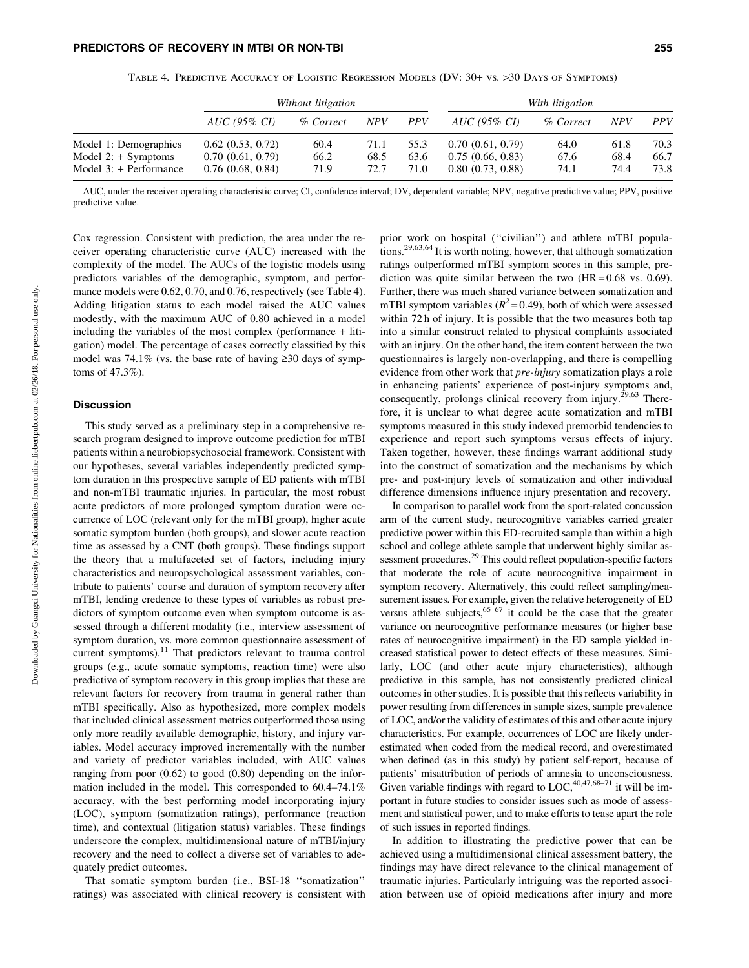|                          | Without litigation          |           |            | With litigation |                  |           |            |            |
|--------------------------|-----------------------------|-----------|------------|-----------------|------------------|-----------|------------|------------|
|                          | <i>AUC</i> (95% <i>CI</i> ) | % Correct | <b>NPV</b> | <b>PPV</b>      | AUC (95% CI)     | % Correct | <b>NPV</b> | <i>PPV</i> |
| Model 1: Demographics    | $0.62$ $(0.53, 0.72)$       | 60.4      | 71.1       | 55.3            | 0.70(0.61, 0.79) | 64.0      | 61.8       | 70.3       |
| Model $2: +$ Symptoms    | 0.70(0.61, 0.79)            | 66.2      | 68.5       | 63.6            | 0.75(0.66, 0.83) | 67.6      | 68.4       | 66.7       |
| Model $3:$ + Performance | $0.76$ $(0.68, 0.84)$       | 71.9      | 72.7       | 71.0            | 0.80(0.73, 0.88) | 74.1      | 74.4       | 73.8       |

Table 4. Predictive Accuracy of Logistic Regression Models (DV: 30+ vs. >30 Days of Symptoms)

AUC, under the receiver operating characteristic curve; CI, confidence interval; DV, dependent variable; NPV, negative predictive value; PPV, positive predictive value.

Cox regression. Consistent with prediction, the area under the receiver operating characteristic curve (AUC) increased with the complexity of the model. The AUCs of the logistic models using predictors variables of the demographic, symptom, and performance models were 0.62, 0.70, and 0.76, respectively (see Table 4). Adding litigation status to each model raised the AUC values modestly, with the maximum AUC of 0.80 achieved in a model including the variables of the most complex (performance + litigation) model. The percentage of cases correctly classified by this model was 74.1% (vs. the base rate of having  $\geq 30$  days of symptoms of 47.3%).

#### **Discussion**

This study served as a preliminary step in a comprehensive research program designed to improve outcome prediction for mTBI patients within a neurobiopsychosocial framework. Consistent with our hypotheses, several variables independently predicted symptom duration in this prospective sample of ED patients with mTBI and non-mTBI traumatic injuries. In particular, the most robust acute predictors of more prolonged symptom duration were occurrence of LOC (relevant only for the mTBI group), higher acute somatic symptom burden (both groups), and slower acute reaction time as assessed by a CNT (both groups). These findings support the theory that a multifaceted set of factors, including injury characteristics and neuropsychological assessment variables, contribute to patients' course and duration of symptom recovery after mTBI, lending credence to these types of variables as robust predictors of symptom outcome even when symptom outcome is assessed through a different modality (i.e., interview assessment of symptom duration, vs. more common questionnaire assessment of current symptoms).<sup>11</sup> That predictors relevant to trauma control groups (e.g., acute somatic symptoms, reaction time) were also predictive of symptom recovery in this group implies that these are relevant factors for recovery from trauma in general rather than mTBI specifically. Also as hypothesized, more complex models that included clinical assessment metrics outperformed those using only more readily available demographic, history, and injury variables. Model accuracy improved incrementally with the number and variety of predictor variables included, with AUC values ranging from poor (0.62) to good (0.80) depending on the information included in the model. This corresponded to 60.4–74.1% accuracy, with the best performing model incorporating injury (LOC), symptom (somatization ratings), performance (reaction time), and contextual (litigation status) variables. These findings underscore the complex, multidimensional nature of mTBI/injury recovery and the need to collect a diverse set of variables to adequately predict outcomes.

That somatic symptom burden (i.e., BSI-18 ''somatization'' ratings) was associated with clinical recovery is consistent with prior work on hospital (''civilian'') and athlete mTBI populations.29,63,64 It is worth noting, however, that although somatization ratings outperformed mTBI symptom scores in this sample, prediction was quite similar between the two  $(HR = 0.68 \text{ vs. } 0.69)$ . Further, there was much shared variance between somatization and mTBI symptom variables ( $R^2$  = 0.49), both of which were assessed within 72 h of injury. It is possible that the two measures both tap into a similar construct related to physical complaints associated with an injury. On the other hand, the item content between the two questionnaires is largely non-overlapping, and there is compelling evidence from other work that pre-injury somatization plays a role in enhancing patients' experience of post-injury symptoms and, consequently, prolongs clinical recovery from injury.<sup>29,63</sup> Therefore, it is unclear to what degree acute somatization and mTBI symptoms measured in this study indexed premorbid tendencies to experience and report such symptoms versus effects of injury. Taken together, however, these findings warrant additional study into the construct of somatization and the mechanisms by which pre- and post-injury levels of somatization and other individual difference dimensions influence injury presentation and recovery.

In comparison to parallel work from the sport-related concussion arm of the current study, neurocognitive variables carried greater predictive power within this ED-recruited sample than within a high school and college athlete sample that underwent highly similar assessment procedures.<sup>29</sup> This could reflect population-specific factors that moderate the role of acute neurocognitive impairment in symptom recovery. Alternatively, this could reflect sampling/measurement issues. For example, given the relative heterogeneity of ED versus athlete subjects, $65-67$  it could be the case that the greater variance on neurocognitive performance measures (or higher base rates of neurocognitive impairment) in the ED sample yielded increased statistical power to detect effects of these measures. Similarly, LOC (and other acute injury characteristics), although predictive in this sample, has not consistently predicted clinical outcomes in other studies. It is possible that this reflects variability in power resulting from differences in sample sizes, sample prevalence of LOC, and/or the validity of estimates of this and other acute injury characteristics. For example, occurrences of LOC are likely underestimated when coded from the medical record, and overestimated when defined (as in this study) by patient self-report, because of patients' misattribution of periods of amnesia to unconsciousness. Given variable findings with regard to  $LOC^{40,47,68-71}$  it will be important in future studies to consider issues such as mode of assessment and statistical power, and to make efforts to tease apart the role of such issues in reported findings.

In addition to illustrating the predictive power that can be achieved using a multidimensional clinical assessment battery, the findings may have direct relevance to the clinical management of traumatic injuries. Particularly intriguing was the reported association between use of opioid medications after injury and more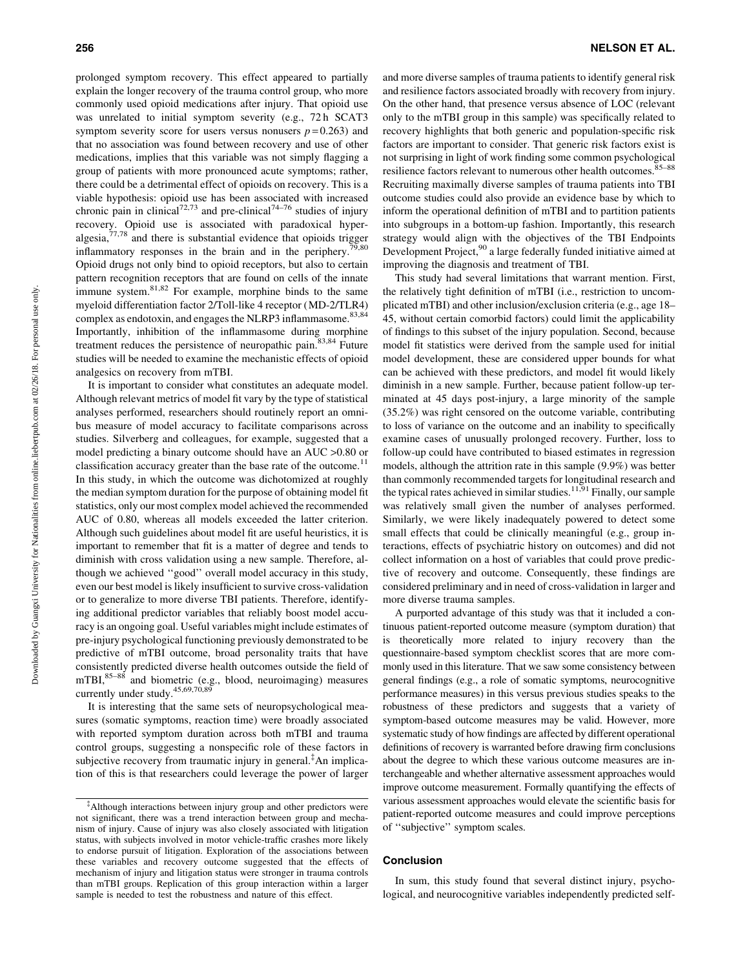prolonged symptom recovery. This effect appeared to partially explain the longer recovery of the trauma control group, who more commonly used opioid medications after injury. That opioid use was unrelated to initial symptom severity (e.g., 72 h SCAT3 symptom severity score for users versus nonusers  $p = 0.263$ ) and that no association was found between recovery and use of other medications, implies that this variable was not simply flagging a group of patients with more pronounced acute symptoms; rather, there could be a detrimental effect of opioids on recovery. This is a viable hypothesis: opioid use has been associated with increased chronic pain in clinical<sup>72,73</sup> and pre-clinical<sup>74–76</sup> studies of injury recovery. Opioid use is associated with paradoxical hyperalgesia, $77.78$  and there is substantial evidence that opioids trigger inflammatory responses in the brain and in the periphery.<sup>79,80</sup> Opioid drugs not only bind to opioid receptors, but also to certain pattern recognition receptors that are found on cells of the innate immune system.<sup>81,82</sup> For example, morphine binds to the same myeloid differentiation factor 2/Toll-like 4 receptor (MD-2/TLR4) complex as endotoxin, and engages the NLRP3 inflammasome.<sup>83,84</sup> Importantly, inhibition of the inflammasome during morphine treatment reduces the persistence of neuropathic pain. $83,84$  Future studies will be needed to examine the mechanistic effects of opioid analgesics on recovery from mTBI.

It is important to consider what constitutes an adequate model. Although relevant metrics of model fit vary by the type of statistical analyses performed, researchers should routinely report an omnibus measure of model accuracy to facilitate comparisons across studies. Silverberg and colleagues, for example, suggested that a model predicting a binary outcome should have an AUC >0.80 or classification accuracy greater than the base rate of the outcome.<sup>11</sup> In this study, in which the outcome was dichotomized at roughly the median symptom duration for the purpose of obtaining model fit statistics, only our most complex model achieved the recommended AUC of 0.80, whereas all models exceeded the latter criterion. Although such guidelines about model fit are useful heuristics, it is important to remember that fit is a matter of degree and tends to diminish with cross validation using a new sample. Therefore, although we achieved ''good'' overall model accuracy in this study, even our best model is likely insufficient to survive cross-validation or to generalize to more diverse TBI patients. Therefore, identifying additional predictor variables that reliably boost model accuracy is an ongoing goal. Useful variables might include estimates of pre-injury psychological functioning previously demonstrated to be predictive of mTBI outcome, broad personality traits that have consistently predicted diverse health outcomes outside the field of mTBI,<sup>85–88</sup> and biometric (e.g., blood, neuroimaging) measures currently under study.<sup>45,69,70,89</sup>

It is interesting that the same sets of neuropsychological measures (somatic symptoms, reaction time) were broadly associated with reported symptom duration across both mTBI and trauma control groups, suggesting a nonspecific role of these factors in subjective recovery from traumatic injury in general.<sup>‡</sup>An implication of this is that researchers could leverage the power of larger and more diverse samples of trauma patients to identify general risk and resilience factors associated broadly with recovery from injury. On the other hand, that presence versus absence of LOC (relevant only to the mTBI group in this sample) was specifically related to recovery highlights that both generic and population-specific risk factors are important to consider. That generic risk factors exist is not surprising in light of work finding some common psychological resilience factors relevant to numerous other health outcomes.85–88 Recruiting maximally diverse samples of trauma patients into TBI outcome studies could also provide an evidence base by which to inform the operational definition of mTBI and to partition patients into subgroups in a bottom-up fashion. Importantly, this research strategy would align with the objectives of the TBI Endpoints Development Project,<sup>90</sup> a large federally funded initiative aimed at improving the diagnosis and treatment of TBI.

This study had several limitations that warrant mention. First, the relatively tight definition of mTBI (i.e., restriction to uncomplicated mTBI) and other inclusion/exclusion criteria (e.g., age 18– 45, without certain comorbid factors) could limit the applicability of findings to this subset of the injury population. Second, because model fit statistics were derived from the sample used for initial model development, these are considered upper bounds for what can be achieved with these predictors, and model fit would likely diminish in a new sample. Further, because patient follow-up terminated at 45 days post-injury, a large minority of the sample (35.2%) was right censored on the outcome variable, contributing to loss of variance on the outcome and an inability to specifically examine cases of unusually prolonged recovery. Further, loss to follow-up could have contributed to biased estimates in regression models, although the attrition rate in this sample (9.9%) was better than commonly recommended targets for longitudinal research and the typical rates achieved in similar studies.<sup>11,91</sup> Finally, our sample was relatively small given the number of analyses performed. Similarly, we were likely inadequately powered to detect some small effects that could be clinically meaningful (e.g., group interactions, effects of psychiatric history on outcomes) and did not collect information on a host of variables that could prove predictive of recovery and outcome. Consequently, these findings are considered preliminary and in need of cross-validation in larger and more diverse trauma samples.

A purported advantage of this study was that it included a continuous patient-reported outcome measure (symptom duration) that is theoretically more related to injury recovery than the questionnaire-based symptom checklist scores that are more commonly used in this literature. That we saw some consistency between general findings (e.g., a role of somatic symptoms, neurocognitive performance measures) in this versus previous studies speaks to the robustness of these predictors and suggests that a variety of symptom-based outcome measures may be valid. However, more systematic study of how findings are affected by different operational definitions of recovery is warranted before drawing firm conclusions about the degree to which these various outcome measures are interchangeable and whether alternative assessment approaches would improve outcome measurement. Formally quantifying the effects of various assessment approaches would elevate the scientific basis for patient-reported outcome measures and could improve perceptions of ''subjective'' symptom scales.

#### Conclusion

In sum, this study found that several distinct injury, psychological, and neurocognitive variables independently predicted self-

<sup>{</sup> Although interactions between injury group and other predictors were not significant, there was a trend interaction between group and mechanism of injury. Cause of injury was also closely associated with litigation status, with subjects involved in motor vehicle-traffic crashes more likely to endorse pursuit of litigation. Exploration of the associations between these variables and recovery outcome suggested that the effects of mechanism of injury and litigation status were stronger in trauma controls than mTBI groups. Replication of this group interaction within a larger sample is needed to test the robustness and nature of this effect.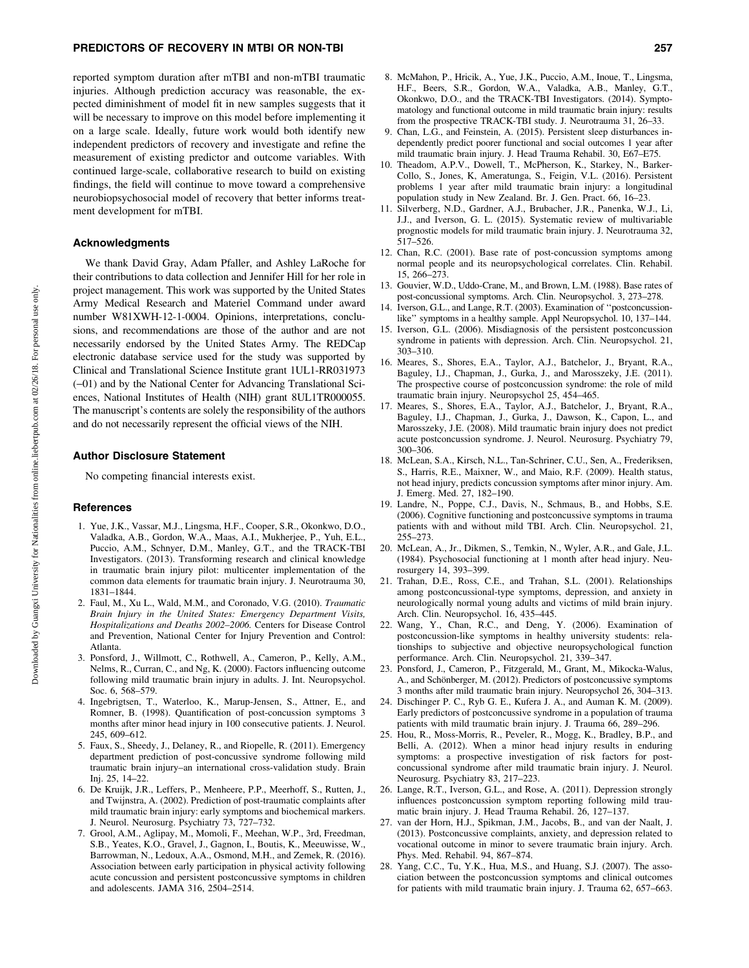reported symptom duration after mTBI and non-mTBI traumatic injuries. Although prediction accuracy was reasonable, the expected diminishment of model fit in new samples suggests that it will be necessary to improve on this model before implementing it on a large scale. Ideally, future work would both identify new independent predictors of recovery and investigate and refine the measurement of existing predictor and outcome variables. With continued large-scale, collaborative research to build on existing findings, the field will continue to move toward a comprehensive neurobiopsychosocial model of recovery that better informs treatment development for mTBI.

#### Acknowledgments

We thank David Gray, Adam Pfaller, and Ashley LaRoche for their contributions to data collection and Jennifer Hill for her role in project management. This work was supported by the United States Army Medical Research and Materiel Command under award number W81XWH-12-1-0004. Opinions, interpretations, conclusions, and recommendations are those of the author and are not necessarily endorsed by the United States Army. The REDCap electronic database service used for the study was supported by Clinical and Translational Science Institute grant 1UL1-RR031973 (-01) and by the National Center for Advancing Translational Sciences, National Institutes of Health (NIH) grant 8UL1TR000055. The manuscript's contents are solely the responsibility of the authors and do not necessarily represent the official views of the NIH.

#### Author Disclosure Statement

No competing financial interests exist.

#### References

- 1. Yue, J.K., Vassar, M.J., Lingsma, H.F., Cooper, S.R., Okonkwo, D.O., Valadka, A.B., Gordon, W.A., Maas, A.I., Mukherjee, P., Yuh, E.L., Puccio, A.M., Schnyer, D.M., Manley, G.T., and the TRACK-TBI Investigators. (2013). Transforming research and clinical knowledge in traumatic brain injury pilot: multicenter implementation of the common data elements for traumatic brain injury. J. Neurotrauma 30, 1831–1844.
- 2. Faul, M., Xu L., Wald, M.M., and Coronado, V.G. (2010). Traumatic Brain Injury in the United States: Emergency Department Visits, Hospitalizations and Deaths 2002–2006. Centers for Disease Control and Prevention, National Center for Injury Prevention and Control: Atlanta.
- 3. Ponsford, J., Willmott, C., Rothwell, A., Cameron, P., Kelly, A.M., Nelms, R., Curran, C., and Ng, K. (2000). Factors influencing outcome following mild traumatic brain injury in adults. J. Int. Neuropsychol. Soc. 6, 568–579.
- 4. Ingebrigtsen, T., Waterloo, K., Marup-Jensen, S., Attner, E., and Romner, B. (1998). Quantification of post-concussion symptoms 3 months after minor head injury in 100 consecutive patients. J. Neurol. 245, 609–612.
- 5. Faux, S., Sheedy, J., Delaney, R., and Riopelle, R. (2011). Emergency department prediction of post-concussive syndrome following mild traumatic brain injury–an international cross-validation study. Brain Inj. 25, 14–22.
- 6. De Kruijk, J.R., Leffers, P., Menheere, P.P., Meerhoff, S., Rutten, J., and Twijnstra, A. (2002). Prediction of post-traumatic complaints after mild traumatic brain injury: early symptoms and biochemical markers. J. Neurol. Neurosurg. Psychiatry 73, 727–732.
- 7. Grool, A.M., Aglipay, M., Momoli, F., Meehan, W.P., 3rd, Freedman, S.B., Yeates, K.O., Gravel, J., Gagnon, I., Boutis, K., Meeuwisse, W., Barrowman, N., Ledoux, A.A., Osmond, M.H., and Zemek, R. (2016). Association between early participation in physical activity following acute concussion and persistent postconcussive symptoms in children and adolescents. JAMA 316, 2504–2514.
- 8. McMahon, P., Hricik, A., Yue, J.K., Puccio, A.M., Inoue, T., Lingsma, H.F., Beers, S.R., Gordon, W.A., Valadka, A.B., Manley, G.T., Okonkwo, D.O., and the TRACK-TBI Investigators. (2014). Symptomatology and functional outcome in mild traumatic brain injury: results from the prospective TRACK-TBI study. J. Neurotrauma 31, 26–33.
- 9. Chan, L.G., and Feinstein, A. (2015). Persistent sleep disturbances independently predict poorer functional and social outcomes 1 year after mild traumatic brain injury. J. Head Trauma Rehabil. 30, E67–E75.
- 10. Theadom, A.P.V., Dowell, T., McPherson, K., Starkey, N., Barker-Collo, S., Jones, K, Ameratunga, S., Feigin, V.L. (2016). Persistent problems 1 year after mild traumatic brain injury: a longitudinal population study in New Zealand. Br. J. Gen. Pract. 66, 16–23.
- 11. Silverberg, N.D., Gardner, A.J., Brubacher, J.R., Panenka, W.J., Li, J.J., and Iverson, G. L. (2015). Systematic review of multivariable prognostic models for mild traumatic brain injury. J. Neurotrauma 32, 517–526.
- 12. Chan, R.C. (2001). Base rate of post-concussion symptoms among normal people and its neuropsychological correlates. Clin. Rehabil. 15, 266–273.
- 13. Gouvier, W.D., Uddo-Crane, M., and Brown, L.M. (1988). Base rates of post-concussional symptoms. Arch. Clin. Neuropsychol. 3, 273–278.
- 14. Iverson, G.L., and Lange, R.T. (2003). Examination of ''postconcussionlike'' symptoms in a healthy sample. Appl Neuropsychol. 10, 137–144.
- 15. Iverson, G.L. (2006). Misdiagnosis of the persistent postconcussion syndrome in patients with depression. Arch. Clin. Neuropsychol. 21, 303–310.
- 16. Meares, S., Shores, E.A., Taylor, A.J., Batchelor, J., Bryant, R.A., Baguley, I.J., Chapman, J., Gurka, J., and Marosszeky, J.E. (2011). The prospective course of postconcussion syndrome: the role of mild traumatic brain injury. Neuropsychol 25, 454–465.
- 17. Meares, S., Shores, E.A., Taylor, A.J., Batchelor, J., Bryant, R.A., Baguley, I.J., Chapman, J., Gurka, J., Dawson, K., Capon, L., and Marosszeky, J.E. (2008). Mild traumatic brain injury does not predict acute postconcussion syndrome. J. Neurol. Neurosurg. Psychiatry 79, 300–306.
- 18. McLean, S.A., Kirsch, N.L., Tan-Schriner, C.U., Sen, A., Frederiksen, S., Harris, R.E., Maixner, W., and Maio, R.F. (2009). Health status, not head injury, predicts concussion symptoms after minor injury. Am. J. Emerg. Med. 27, 182–190.
- 19. Landre, N., Poppe, C.J., Davis, N., Schmaus, B., and Hobbs, S.E. (2006). Cognitive functioning and postconcussive symptoms in trauma patients with and without mild TBI. Arch. Clin. Neuropsychol. 21, 255–273.
- 20. McLean, A., Jr., Dikmen, S., Temkin, N., Wyler, A.R., and Gale, J.L. (1984). Psychosocial functioning at 1 month after head injury. Neurosurgery 14, 393–399.
- 21. Trahan, D.E., Ross, C.E., and Trahan, S.L. (2001). Relationships among postconcussional-type symptoms, depression, and anxiety in neurologically normal young adults and victims of mild brain injury. Arch. Clin. Neuropsychol. 16, 435–445.
- 22. Wang, Y., Chan, R.C., and Deng, Y. (2006). Examination of postconcussion-like symptoms in healthy university students: relationships to subjective and objective neuropsychological function performance. Arch. Clin. Neuropsychol. 21, 339–347.
- 23. Ponsford, J., Cameron, P., Fitzgerald, M., Grant, M., Mikocka-Walus, A., and Schönberger, M. (2012). Predictors of postconcussive symptoms 3 months after mild traumatic brain injury. Neuropsychol 26, 304–313.
- 24. Dischinger P. C., Ryb G. E., Kufera J. A., and Auman K. M. (2009). Early predictors of postconcussive syndrome in a population of trauma patients with mild traumatic brain injury. J. Trauma 66, 289–296.
- 25. Hou, R., Moss-Morris, R., Peveler, R., Mogg, K., Bradley, B.P., and Belli, A. (2012). When a minor head injury results in enduring symptoms: a prospective investigation of risk factors for postconcussional syndrome after mild traumatic brain injury. J. Neurol. Neurosurg. Psychiatry 83, 217–223.
- 26. Lange, R.T., Iverson, G.L., and Rose, A. (2011). Depression strongly influences postconcussion symptom reporting following mild traumatic brain injury. J. Head Trauma Rehabil. 26, 127–137.
- 27. van der Horn, H.J., Spikman, J.M., Jacobs, B., and van der Naalt, J. (2013). Postconcussive complaints, anxiety, and depression related to vocational outcome in minor to severe traumatic brain injury. Arch. Phys. Med. Rehabil. 94, 867–874.
- 28. Yang, C.C., Tu, Y.K., Hua, M.S., and Huang, S.J. (2007). The association between the postconcussion symptoms and clinical outcomes for patients with mild traumatic brain injury. J. Trauma 62, 657–663.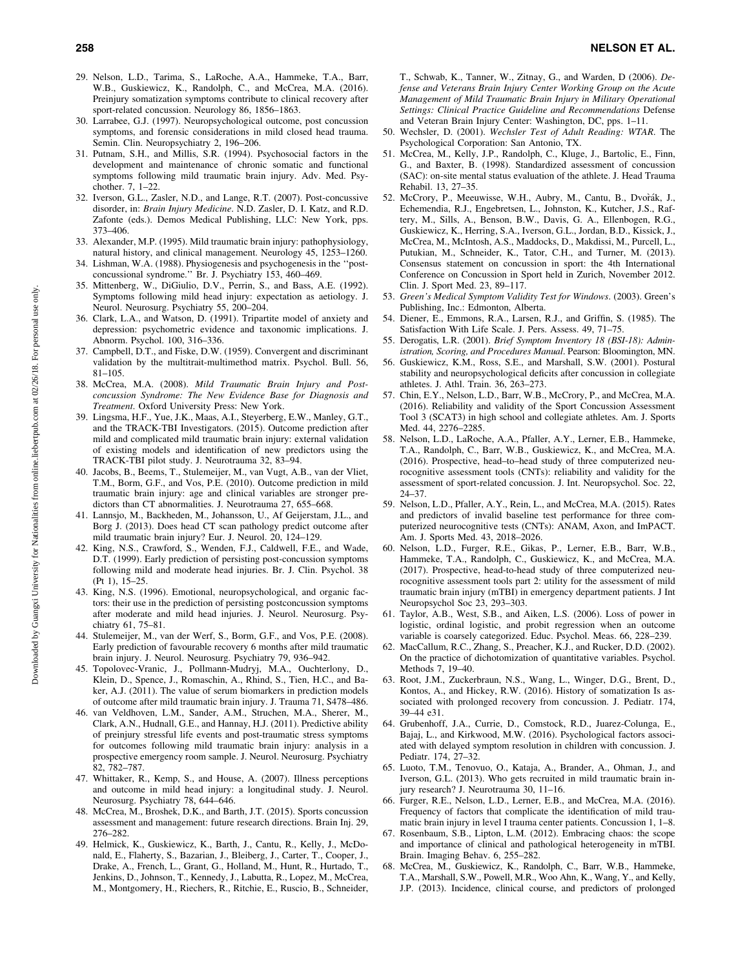- 29. Nelson, L.D., Tarima, S., LaRoche, A.A., Hammeke, T.A., Barr, W.B., Guskiewicz, K., Randolph, C., and McCrea, M.A. (2016). Preinjury somatization symptoms contribute to clinical recovery after sport-related concussion. Neurology 86, 1856–1863.
- 30. Larrabee, G.J. (1997). Neuropsychological outcome, post concussion symptoms, and forensic considerations in mild closed head trauma. Semin. Clin. Neuropsychiatry 2, 196–206.
- 31. Putnam, S.H., and Millis, S.R. (1994). Psychosocial factors in the development and maintenance of chronic somatic and functional symptoms following mild traumatic brain injury. Adv. Med. Psychother. 7, 1–22.
- 32. Iverson, G.L., Zasler, N.D., and Lange, R.T. (2007). Post-concussive disorder, in: Brain Injury Medicine. N.D. Zasler, D. I. Katz, and R.D. Zafonte (eds.). Demos Medical Publishing, LLC: New York, pps. 373–406.
- 33. Alexander, M.P. (1995). Mild traumatic brain injury: pathophysiology, natural history, and clinical management. Neurology 45, 1253–1260.
- 34. Lishman, W.A. (1988). Physiogenesis and psychogenesis in the ''postconcussional syndrome.'' Br. J. Psychiatry 153, 460–469.
- 35. Mittenberg, W., DiGiulio, D.V., Perrin, S., and Bass, A.E. (1992). Symptoms following mild head injury: expectation as aetiology. J. Neurol. Neurosurg. Psychiatry 55, 200–204.
- 36. Clark, L.A., and Watson, D. (1991). Tripartite model of anxiety and depression: psychometric evidence and taxonomic implications. J. Abnorm. Psychol. 100, 316–336.
- 37. Campbell, D.T., and Fiske, D.W. (1959). Convergent and discriminant validation by the multitrait-multimethod matrix. Psychol. Bull. 56, 81–105.
- 38. McCrea, M.A. (2008). Mild Traumatic Brain Injury and Postconcussion Syndrome: The New Evidence Base for Diagnosis and Treatment. Oxford University Press: New York.
- 39. Lingsma, H.F., Yue, J.K., Maas, A.I., Steyerberg, E.W., Manley, G.T., and the TRACK-TBI Investigators. (2015). Outcome prediction after mild and complicated mild traumatic brain injury: external validation of existing models and identification of new predictors using the TRACK-TBI pilot study. J. Neurotrauma 32, 83–94.
- 40. Jacobs, B., Beems, T., Stulemeijer, M., van Vugt, A.B., van der Vliet, T.M., Borm, G.F., and Vos, P.E. (2010). Outcome prediction in mild traumatic brain injury: age and clinical variables are stronger predictors than CT abnormalities. J. Neurotrauma 27, 655–668.
- 41. Lannsjo, M., Backheden, M., Johansson, U., Af Geijerstam, J.L., and Borg J. (2013). Does head CT scan pathology predict outcome after mild traumatic brain injury? Eur. J. Neurol. 20, 124–129.
- 42. King, N.S., Crawford, S., Wenden, F.J., Caldwell, F.E., and Wade, D.T. (1999). Early prediction of persisting post-concussion symptoms following mild and moderate head injuries. Br. J. Clin. Psychol. 38 (Pt 1), 15–25.
- 43. King, N.S. (1996). Emotional, neuropsychological, and organic factors: their use in the prediction of persisting postconcussion symptoms after moderate and mild head injuries. J. Neurol. Neurosurg. Psychiatry 61, 75–81.
- 44. Stulemeijer, M., van der Werf, S., Borm, G.F., and Vos, P.E. (2008). Early prediction of favourable recovery 6 months after mild traumatic brain injury. J. Neurol. Neurosurg. Psychiatry 79, 936–942.
- 45. Topolovec-Vranic, J., Pollmann-Mudryj, M.A., Ouchterlony, D., Klein, D., Spence, J., Romaschin, A., Rhind, S., Tien, H.C., and Baker, A.J.  $(2011)$ . The value of serum biomarkers in prediction models of outcome after mild traumatic brain injury. J. Trauma 71, S478–486.
- 46. van Veldhoven, L.M., Sander, A.M., Struchen, M.A., Sherer, M., Clark, A.N., Hudnall, G.E., and Hannay, H.J. (2011). Predictive ability of preinjury stressful life events and post-traumatic stress symptoms for outcomes following mild traumatic brain injury: analysis in a prospective emergency room sample. J. Neurol. Neurosurg. Psychiatry 82, 782–787.
- 47. Whittaker, R., Kemp, S., and House, A. (2007). Illness perceptions and outcome in mild head injury: a longitudinal study. J. Neurol. Neurosurg. Psychiatry 78, 644–646.
- 48. McCrea, M., Broshek, D.K., and Barth, J.T. (2015). Sports concussion assessment and management: future research directions. Brain Inj. 29, 276–282.
- 49. Helmick, K., Guskiewicz, K., Barth, J., Cantu, R., Kelly, J., McDonald, E., Flaherty, S., Bazarian, J., Bleiberg, J., Carter, T., Cooper, J., Drake, A., French, L., Grant, G., Holland, M., Hunt, R., Hurtado, T., Jenkins, D., Johnson, T., Kennedy, J., Labutta, R., Lopez, M., McCrea, M., Montgomery, H., Riechers, R., Ritchie, E., Ruscio, B., Schneider,

T., Schwab, K., Tanner, W., Zitnay, G., and Warden, D (2006). Defense and Veterans Brain Injury Center Working Group on the Acute Management of Mild Traumatic Brain Injury in Military Operational Settings: Clinical Practice Guideline and Recommendations Defense and Veteran Brain Injury Center: Washington, DC, pps. 1–11.

- 50. Wechsler, D. (2001). Wechsler Test of Adult Reading: WTAR. The Psychological Corporation: San Antonio, TX.
- 51. McCrea, M., Kelly, J.P., Randolph, C., Kluge, J., Bartolic, E., Finn, G., and Baxter, B. (1998). Standardized assessment of concussion (SAC): on-site mental status evaluation of the athlete. J. Head Trauma Rehabil. 13, 27–35.
- 52. McCrory, P., Meeuwisse, W.H., Aubry, M., Cantu, B., Dvorák, J., Echemendia, R.J., Engebretsen, L., Johnston, K., Kutcher, J.S., Raftery, M., Sills, A., Benson, B.W., Davis, G. A., Ellenbogen, R.G., Guskiewicz, K., Herring, S.A., Iverson, G.L., Jordan, B.D., Kissick, J., McCrea, M., McIntosh, A.S., Maddocks, D., Makdissi, M., Purcell, L., Putukian, M., Schneider, K., Tator, C.H., and Turner, M. (2013). Consensus statement on concussion in sport: the 4th International Conference on Concussion in Sport held in Zurich, November 2012. Clin. J. Sport Med. 23, 89–117.
- 53. Green's Medical Symptom Validity Test for Windows. (2003). Green's Publishing, Inc.: Edmonton, Alberta.
- 54. Diener, E., Emmons, R.A., Larsen, R.J., and Griffin, S. (1985). The Satisfaction With Life Scale. J. Pers. Assess. 49, 71–75.
- 55. Derogatis, L.R. (2001). Brief Symptom Inventory 18 (BSI-18): Administration, Scoring, and Procedures Manual. Pearson: Bloomington, MN.
- 56. Guskiewicz, K.M., Ross, S.E., and Marshall, S.W. (2001). Postural stability and neuropsychological deficits after concussion in collegiate athletes. J. Athl. Train. 36, 263–273.
- 57. Chin, E.Y., Nelson, L.D., Barr, W.B., McCrory, P., and McCrea, M.A. (2016). Reliability and validity of the Sport Concussion Assessment Tool 3 (SCAT3) in high school and collegiate athletes. Am. J. Sports Med. 44, 2276–2285.
- 58. Nelson, L.D., LaRoche, A.A., Pfaller, A.Y., Lerner, E.B., Hammeke, T.A., Randolph, C., Barr, W.B., Guskiewicz, K., and McCrea, M.A. (2016). Prospective, head–to–head study of three computerized neurocognitive assessment tools (CNTs): reliability and validity for the assessment of sport-related concussion. J. Int. Neuropsychol. Soc. 22, 24–37.
- 59. Nelson, L.D., Pfaller, A.Y., Rein, L., and McCrea, M.A. (2015). Rates and predictors of invalid baseline test performance for three computerized neurocognitive tests (CNTs): ANAM, Axon, and ImPACT. Am. J. Sports Med. 43, 2018–2026.
- 60. Nelson, L.D., Furger, R.E., Gikas, P., Lerner, E.B., Barr, W.B., Hammeke, T.A., Randolph, C., Guskiewicz, K., and McCrea, M.A. (2017). Prospective, head-to-head study of three computerized neurocognitive assessment tools part 2: utility for the assessment of mild traumatic brain injury (mTBI) in emergency department patients. J Int Neuropsychol Soc 23, 293–303.
- 61. Taylor, A.B., West, S.B., and Aiken, L.S. (2006). Loss of power in logistic, ordinal logistic, and probit regression when an outcome variable is coarsely categorized. Educ. Psychol. Meas. 66, 228–239.
- 62. MacCallum, R.C., Zhang, S., Preacher, K.J., and Rucker, D.D. (2002). On the practice of dichotomization of quantitative variables. Psychol. Methods 7, 19–40.
- 63. Root, J.M., Zuckerbraun, N.S., Wang, L., Winger, D.G., Brent, D., Kontos, A., and Hickey, R.W. (2016). History of somatization Is associated with prolonged recovery from concussion. J. Pediatr. 174, 39–44 e31.
- 64. Grubenhoff, J.A., Currie, D., Comstock, R.D., Juarez-Colunga, E., Bajaj, L., and Kirkwood, M.W. (2016). Psychological factors associated with delayed symptom resolution in children with concussion. J. Pediatr. 174, 27–32.
- 65. Luoto, T.M., Tenovuo, O., Kataja, A., Brander, A., Ohman, J., and Iverson, G.L. (2013). Who gets recruited in mild traumatic brain injury research? J. Neurotrauma 30, 11–16.
- 66. Furger, R.E., Nelson, L.D., Lerner, E.B., and McCrea, M.A. (2016). Frequency of factors that complicate the identification of mild traumatic brain injury in level I trauma center patients. Concussion 1, 1–8.
- 67. Rosenbaum, S.B., Lipton, L.M. (2012). Embracing chaos: the scope and importance of clinical and pathological heterogeneity in mTBI. Brain. Imaging Behav. 6, 255–282.
- 68. McCrea, M., Guskiewicz, K., Randolph, C., Barr, W.B., Hammeke, T.A., Marshall, S.W., Powell, M.R., Woo Ahn, K., Wang, Y., and Kelly, J.P. (2013). Incidence, clinical course, and predictors of prolonged